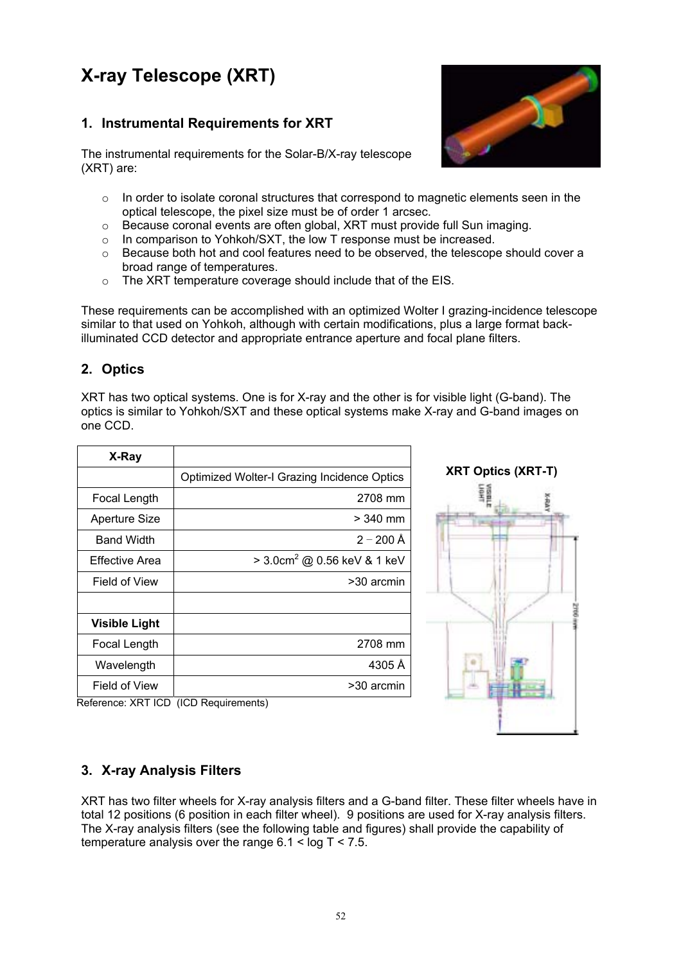# **X-ray Telescope (XRT)**

# **1. Instrumental Requirements for XRT**

The instrumental requirements for the Solar-B/X-ray telescope (XRT) are:

- $\circ$  In order to isolate coronal structures that correspond to magnetic elements seen in the optical telescope, the pixel size must be of order 1 arcsec.
- o Because coronal events are often global, XRT must provide full Sun imaging.
- o In comparison to Yohkoh/SXT, the low T response must be increased.
- $\circ$  Because both hot and cool features need to be observed, the telescope should cover a broad range of temperatures.
- o The XRT temperature coverage should include that of the EIS.

These requirements can be accomplished with an optimized Wolter I grazing-incidence telescope similar to that used on Yohkoh, although with certain modifications, plus a large format backilluminated CCD detector and appropriate entrance aperture and focal plane filters.

## **2. Optics**

XRT has two optical systems. One is for X-ray and the other is for visible light (G-band). The optics is similar to Yohkoh/SXT and these optical systems make X-ray and G-band images on one CCD.

| X-Ray                |                                             |
|----------------------|---------------------------------------------|
|                      | Optimized Wolter-I Grazing Incidence Optics |
| Focal Length         | 2708 mm                                     |
| <b>Aperture Size</b> | $>$ 340 mm                                  |
| <b>Band Width</b>    | $2 - 200$ Å                                 |
| Effective Area       | $>$ 3.0cm <sup>2</sup> @ 0.56 keV & 1 keV   |
| Field of View        | >30 arcmin                                  |
|                      |                                             |
| <b>Visible Light</b> |                                             |
| Focal Length         | 2708 mm                                     |
| Wavelength           | 4305 Å                                      |
| Field of View        | >30 arcmin                                  |



Reference: XRT ICD (ICD Requirements)

## **3. X-ray Analysis Filters**

XRT has two filter wheels for X-ray analysis filters and a G-band filter. These filter wheels have in total 12 positions (6 position in each filter wheel). 9 positions are used for X-ray analysis filters. The X-ray analysis filters (see the following table and figures) shall provide the capability of temperature analysis over the range  $6.1 < log T < 7.5$ .

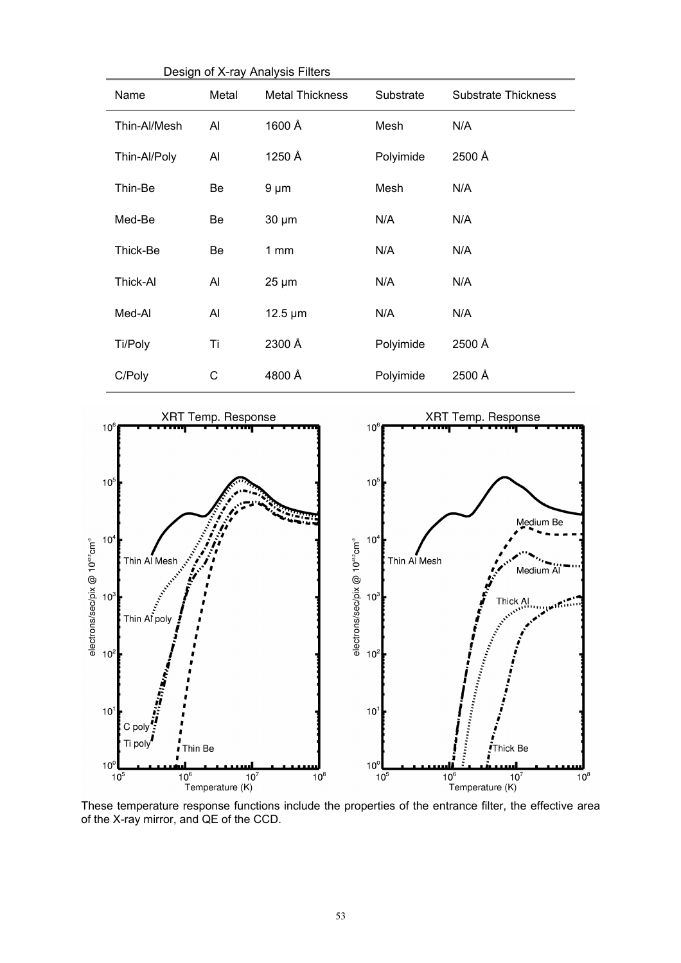| Design of X-ray Analysis Filters                                                                                   |                           |                                                   |                                                                                                             |                                                                     |
|--------------------------------------------------------------------------------------------------------------------|---------------------------|---------------------------------------------------|-------------------------------------------------------------------------------------------------------------|---------------------------------------------------------------------|
| Name                                                                                                               | Metal                     | <b>Metal Thickness</b>                            | Substrate                                                                                                   | <b>Substrate Thickness</b>                                          |
| Thin-Al/Mesh                                                                                                       | AI                        | 1600 Å                                            | Mesh                                                                                                        | N/A                                                                 |
| Thin-Al/Poly                                                                                                       | Al                        | 1250 Å                                            | Polyimide                                                                                                   | 2500 Å                                                              |
| Thin-Be                                                                                                            | Be                        | $9 \mu m$                                         | Mesh                                                                                                        | N/A                                                                 |
| Med-Be                                                                                                             | Be                        | $30 \mu m$                                        | N/A                                                                                                         | N/A                                                                 |
| Thick-Be                                                                                                           | Be                        | 1mm                                               | N/A                                                                                                         | N/A                                                                 |
| Thick-Al                                                                                                           | Al                        | $25 \mu m$                                        | N/A                                                                                                         | N/A                                                                 |
| Med-Al                                                                                                             | Al                        | $12.5 \mu m$                                      | N/A                                                                                                         | N/A                                                                 |
| Ti/Poly                                                                                                            | Ti                        | 2300 Å                                            | Polyimide                                                                                                   | 2500 Å                                                              |
| C/Poly                                                                                                             | C                         | 4800 Å                                            | Polyimide                                                                                                   | 2500 Å                                                              |
| 10 <sup>6</sup><br>$10^5$<br>10 <sup>4</sup><br>Thin Al Mesh<br>Thin Af poly<br>10 <sup>3</sup><br>10 <sup>2</sup> | <b>XRT Temp. Response</b> | $0^{432}$ cm <sup>-3</sup><br>electrons/sec/pix @ | 10 <sup>6</sup><br>10 <sup>5</sup><br>10 <sup>4</sup><br>Thin Al Mesh<br>10 <sup>3</sup><br>10 <sup>2</sup> | <b>XRT Temp. Response</b><br>Medium Be<br><b>RANTING</b><br>Thick A |

electrons/sec/pix @ 10<sup>432</sup>cm<sup>3</sup>

 $10<sup>7</sup>$ 

 $10<sup>°</sup>$ 

 $10^5$ 

C poly

Ti poly

 $\int$ <br> $I$ Thin Be

 $10^6$  10<sup>7</sup><br>Temperature (K)  $10^6$  10<sup>7</sup><br>Temperature (K) These temperature response functions include the properties of the entrance filter, the effective area of the X-ray mirror, and QE of the CCD.

 $10^8$ 

 $10^{\degree}$ 

 $10<sup>0</sup>$ 

 $10^5$ 

 $\frac{1}{2}$ 

**Thick Be** 

 $\overline{10}^8$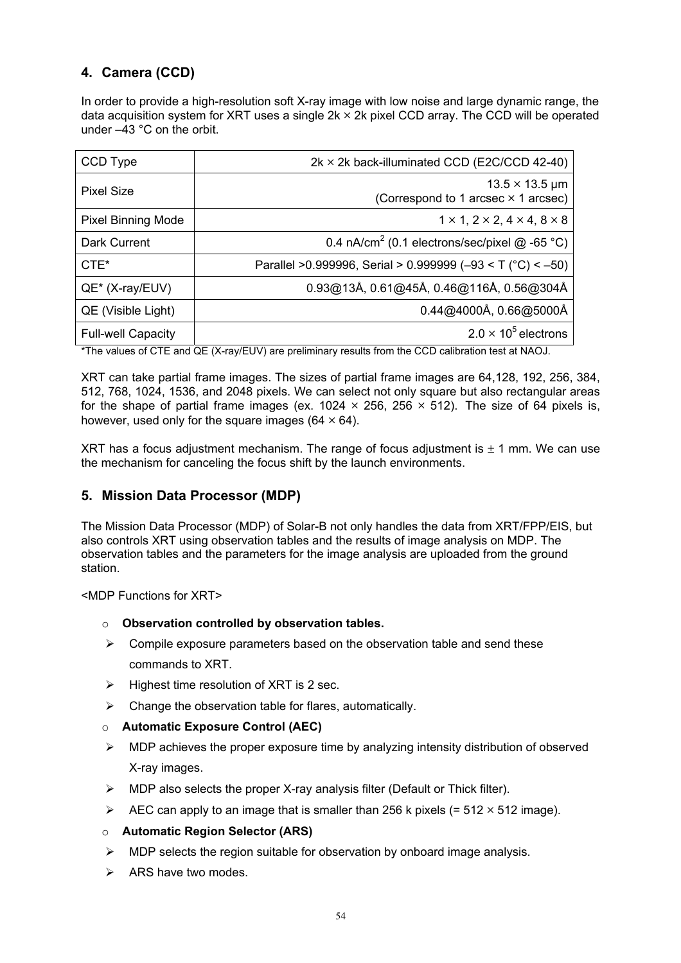# **4. Camera (CCD)**

In order to provide a high-resolution soft X-ray image with low noise and large dynamic range, the data acquisition system for XRT uses a single  $2k \times 2k$  pixel CCD array. The CCD will be operated under –43 °C on the orbit.

| CCD Type                  | $2k \times 2k$ back-illuminated CCD (E2C/CCD 42-40)                      |
|---------------------------|--------------------------------------------------------------------------|
| <b>Pixel Size</b>         | $13.5 \times 13.5 \,\mu m$<br>(Correspond to 1 arcsec $\times$ 1 arcsec) |
| <b>Pixel Binning Mode</b> | $1 \times 1$ , $2 \times 2$ , $4 \times 4$ , $8 \times 8$                |
| Dark Current              | 0.4 nA/cm <sup>2</sup> (0.1 electrons/sec/pixel $@$ -65 °C)              |
| $CTE*$                    | Parallel > 0.999996, Serial > 0.999999 (-93 < T ( $^{\circ}$ C) < -50)   |
| QE* (X-ray/EUV)           | 0.93@13Å, 0.61@45Å, 0.46@116Å, 0.56@304Å                                 |
| QE (Visible Light)        | $0.44@4000$ Å, $0.66@5000$ Å                                             |
| <b>Full-well Capacity</b> | $2.0 \times 10^5$ electrons                                              |

\*The values of CTE and QE (X-ray/EUV) are preliminary results from the CCD calibration test at NAOJ.

XRT can take partial frame images. The sizes of partial frame images are 64,128, 192, 256, 384, 512, 768, 1024, 1536, and 2048 pixels. We can select not only square but also rectangular areas for the shape of partial frame images (ex. 1024  $\times$  256, 256  $\times$  512). The size of 64 pixels is, however, used only for the square images ( $64 \times 64$ ).

XRT has a focus adjustment mechanism. The range of focus adjustment is  $\pm$  1 mm. We can use the mechanism for canceling the focus shift by the launch environments.

## **5. Mission Data Processor (MDP)**

The Mission Data Processor (MDP) of Solar-B not only handles the data from XRT/FPP/EIS, but also controls XRT using observation tables and the results of image analysis on MDP. The observation tables and the parameters for the image analysis are uploaded from the ground station.

<MDP Functions for XRT>

- o **Observation controlled by observation tables.**
- $\triangleright$  Compile exposure parameters based on the observation table and send these commands to XRT.
- $\triangleright$  Highest time resolution of XRT is 2 sec.
- $\triangleright$  Change the observation table for flares, automatically.

### o **Automatic Exposure Control (AEC)**

- $\triangleright$  MDP achieves the proper exposure time by analyzing intensity distribution of observed X-ray images.
- $\triangleright$  MDP also selects the proper X-ray analysis filter (Default or Thick filter).
- $\triangleright$  AEC can apply to an image that is smaller than 256 k pixels (= 512 × 512 image).
- o **Automatic Region Selector (ARS)**
- $\triangleright$  MDP selects the region suitable for observation by onboard image analysis.
- $\triangleright$  ARS have two modes.